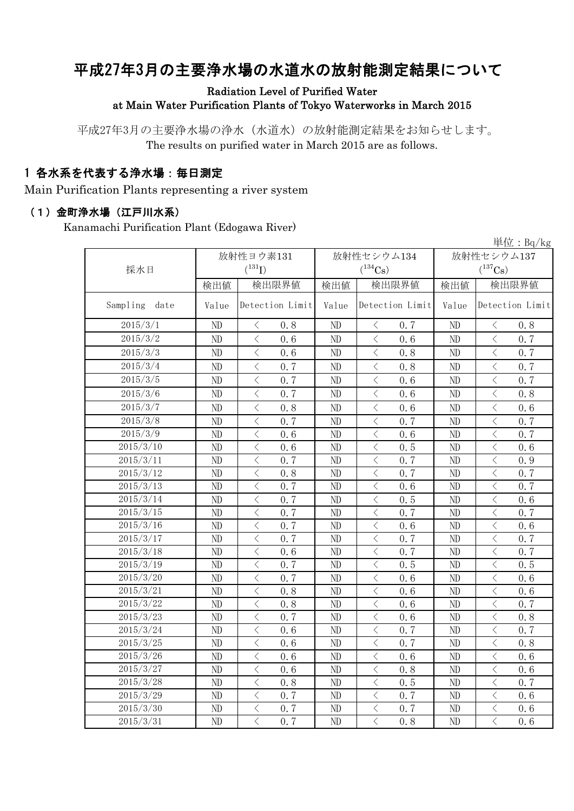# 平成27年3月の主要浄水場の水道水の放射能測定結果について

### Radiation Level of Purified Water at Main Water Purification Plants of Tokyo Waterworks in March 2015

平成27年3月の主要浄水場の浄水(水道水)の放射能測定結果をお知らせします。 The results on purified water in March 2015 are as follows.

### 1 各水系を代表する浄水場:毎日測定

Main Purification Plants representing a river system

#### (1)金町浄水場(江戸川水系)

Kanamachi Purification Plant (Edogawa River)

|               |          |                                                 |       |                                    |            | 単位: Bq/kg                                       |  |
|---------------|----------|-------------------------------------------------|-------|------------------------------------|------------|-------------------------------------------------|--|
|               |          | 放射性ヨウ素131                                       |       | 放射性セシウム134                         | 放射性セシウム137 |                                                 |  |
| 採水日           |          | $(^{131}I)$                                     |       | $(^{134}Cs)$                       |            | $(^{137}Cs)$                                    |  |
|               | 検出値      | 検出限界値                                           | 検出値   | 検出限界値                              | 検出値        | 検出限界値                                           |  |
| Sampling date | Value    | Detection Limit                                 | Value | Detection Limit                    | Value      | Detection Limit                                 |  |
| 2015/3/1      | ND       | 0.8<br>$\lt$                                    | ND    | 0.7<br>$\lt$                       | ND         | 0.8<br>$\langle$                                |  |
| 2015/3/2      | ND       | $\langle$<br>0.6                                | ND    | $\langle$<br>0.6                   | ND         | $\langle$<br>0.7                                |  |
| 2015/3/3      | ND       | $\langle$<br>0.6                                | ND    | $\langle$<br>0.8                   | ND         | $\langle$<br>0.7                                |  |
| 2015/3/4      | ND       | $\langle$<br>0.7                                | ND    | $\langle$<br>0.8                   | ND         | $\langle$<br>0.7                                |  |
| 2015/3/5      | ND       | $\,$ $\,$ $\,$<br>0.7                           | ND    | $\lt$<br>0.6                       | ND         | $\lt$<br>0.7                                    |  |
| 2015/3/6      | ND       | $\,$ $\,$ $\,$<br>0.7                           | ND    | $\,$ $\,$ $\,$<br>0.6              | ND         | $\langle$<br>0.8                                |  |
| 2015/3/7      | ND       | $\,$ $\,$ $\,$<br>0.8                           | ND    | $\,$ $\,$ $\,$<br>0.6              | ND         | $\,$ $\,$ $\,$<br>0.6                           |  |
| 2015/3/8      | ND       | $\, <\,$<br>0.7                                 | ND    | $\, \big\langle \,$<br>0.7         | ND         | $\, <\,$<br>0.7                                 |  |
| 2015/3/9      | $\rm ND$ | $\hspace{0.1mm} <\hspace{0.1mm}$<br>0.6         | ND    | $\hspace{0.1mm}\big\langle$<br>0.6 | $\rm ND$   | $\hspace{0.1mm} <\hspace{0.1mm}$<br>0.7         |  |
| 2015/3/10     | ND       | $\hspace{0.1mm} <\hspace{0.1mm}$<br>0.6         | ND    | $\hspace{0.5cm}\big\langle$<br>0.5 | ND         | $\bigg\langle$<br>0.6                           |  |
| 2015/3/11     | ND       | $\,$ $\,$ $\,$<br>0, 7                          | ND    | $\hspace{0.5cm}\big\langle$<br>0.7 | $\rm ND$   | $\,$ $\,$ $\,$<br>0.9                           |  |
| 2015/3/12     | ND       | $\langle$<br>0.8                                | ND    | $\, \zeta \,$<br>0.7               | ND         | $\bigg\langle$<br>0.7                           |  |
| 2015/3/13     | ND       | $\langle$<br>0.7                                | ND    | $\,$ $\,$ $\,$<br>0.6              | ND         | $\langle$<br>0.7                                |  |
| 2015/3/14     | ND       | $\overline{\left\langle \right\rangle }$<br>0.7 | ND    | $\,$ $\,$ $\,$<br>0.5              | ND         | $\langle$<br>0.6                                |  |
| 2015/3/15     | ND       | $\overline{\left\langle \right\rangle }$<br>0.7 | ND    | $\,$ $\,$ $\,$<br>0.7              | ND         | $\langle$<br>0.7                                |  |
| 2015/3/16     | ND       | $\overline{\left\langle \right\rangle }$<br>0.7 | ND    | $\langle$<br>0.6                   | ND         | $\lt$<br>0.6                                    |  |
| 2015/3/17     | ND       | $\overline{\left\langle \right\rangle }$<br>0.7 | ND    | $\lt$<br>0.7                       | ND         | $\langle$<br>0.7                                |  |
| 2015/3/18     | $\rm ND$ | $\lt$<br>0.6                                    | ND    | $\langle$<br>0.7                   | $\rm ND$   | $\langle$<br>0.7                                |  |
| 2015/3/19     | ND       | $\langle$<br>0.7                                | ND    | $\,$ $\,$ $\,$<br>0.5              | ND         | $\langle$<br>0.5                                |  |
| 2015/3/20     | $\rm ND$ | $\lt$<br>0.7                                    | ND    | $\langle$<br>0.6                   | ND         | $\lt$<br>0.6                                    |  |
| 2015/3/21     | ND       | $\overline{\left\langle \right\rangle }$<br>0.8 | ND    | $\langle$<br>0.6                   | ND         | $\langle$<br>0.6                                |  |
| 2015/3/22     | ND       | $\,$ $\,$ $\,$<br>0.8                           | ND    | $\langle$<br>0.6                   | ND         | $\langle$<br>0.7                                |  |
| 2015/3/23     | ND       | $\overline{\left\langle \right\rangle }$<br>0.7 | ND    | $\langle$<br>0.6                   | ND         | $\langle$<br>0.8                                |  |
| 2015/3/24     | ND       | $\langle$<br>0.6                                | ND    | $\,$ $\,$ $\,$<br>0.7              | ND         | $\langle$<br>0.7                                |  |
| 2015/3/25     | ND       | $\overline{\left\langle \right\rangle }$<br>0.6 | ND    | $\langle$<br>0.7                   | ND         | $\overline{\left\langle \right\rangle }$<br>0.8 |  |
| 2015/3/26     | ND       | $\overline{\left\langle \right\rangle }$<br>0.6 | ND    | $\,$ $\,$ $\,$<br>0.6              | ND         | $\overline{\left\langle \right\rangle }$<br>0.6 |  |
| 2015/3/27     | ND       | $\,$ $\,$ $\,$<br>0.6                           | ND    | $\,$ $\,$ $\,$<br>0.8              | ND         | $\langle$<br>0.6                                |  |
| 2015/3/28     | ND       | $\,$ $\,$ $\,$<br>0.8                           | ND    | $\,$ $\,$ $\,$<br>0.5              | ND         | $\langle$<br>0.7                                |  |
| 2015/3/29     | ND       | $\langle$<br>0.7                                | ND    | $\langle$<br>0.7                   | ND         | $\langle$<br>0.6                                |  |
| 2015/3/30     | ND       | $\bigg\langle$<br>0.7                           | ND    | $\hspace{0.5cm}\big\langle$<br>0.7 | ND         | $\hspace{0.1mm} <\hspace{0.1mm}$<br>0.6         |  |
| 2015/3/31     | ND       | $\overline{\left\langle \right\rangle }$<br>0.7 | ND    | $\overline{\langle}$<br>0.8        | ND         | $\overline{\left\langle \right\rangle }$<br>0.6 |  |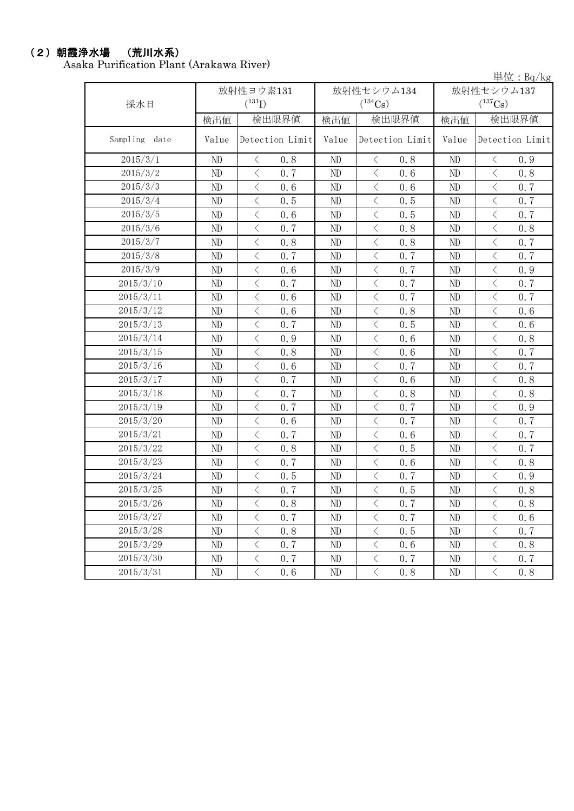#### (2)朝霞浄水場 (荒川水系)

Asaka Purification Plant (Arakawa River)

単位:Bq/kg

| 採水日           |          | 放射性ヨウ素131<br>$(^{131}I)$                |          | 放射性セシウム134<br>$(^{134}Cs)$                                                                                                                                           | 放射性セシウム137<br>$(^{137}Cs)$ |                                                 |  |
|---------------|----------|-----------------------------------------|----------|----------------------------------------------------------------------------------------------------------------------------------------------------------------------|----------------------------|-------------------------------------------------|--|
|               | 検出値      | 検出限界値                                   | 検出値      | 検出限界値                                                                                                                                                                | 検出値                        | 検出限界値                                           |  |
| Sampling date | Value    | Detection Limit                         | Value    | Detection Limit                                                                                                                                                      | Value                      | Detection Limit                                 |  |
| 2015/3/1      | ND       | $\lt$<br>0.8                            | ND       | 0.8<br>$\lt$                                                                                                                                                         | ND                         | 0.9<br>$\lt$                                    |  |
| 2015/3/2      | ND       | $\overline{\langle}$<br>0.7             | ND       | $\langle$<br>0.6                                                                                                                                                     | ND                         | $\overline{\langle}$<br>0.8                     |  |
| 2015/3/3      | ND       | $\langle$<br>0.6                        | ND       | $\langle$<br>0.6                                                                                                                                                     | ND                         | $\lt$<br>0.7                                    |  |
| 2015/3/4      | ND       | $\langle$<br>0.5                        | ND       | $\langle$<br>0.5                                                                                                                                                     | ND                         | $\langle$<br>0.7                                |  |
| 2015/3/5      | ND       | $\,$ $\,$ $\,$<br>0.6                   | ND       | $\langle$<br>0.5                                                                                                                                                     | ND                         | $\lt$<br>0.7                                    |  |
| 2015/3/6      | ND       | $\langle$<br>0.7                        | ND       | $\overline{\left\langle \right\rangle }$<br>0.8                                                                                                                      | ND                         | $\overline{\left\langle \right\rangle }$<br>0.8 |  |
| 2015/3/7      | ND       | $\hspace{0.1mm} <\hspace{0.1mm}$<br>0.8 | ND       | $\, <\,$<br>0.8                                                                                                                                                      | ND                         | $\lt$<br>0.7                                    |  |
| 2015/3/8      | $\rm ND$ | $\, <\,$<br>0.7                         | ND       | $\, <\,$<br>0.7                                                                                                                                                      | ND                         | 0.7<br>$\langle$                                |  |
| 2015/3/9      | ND       | $\bigl\langle$<br>0.6                   | ND       | $\lt$<br>0.7                                                                                                                                                         | ND                         | $\langle$<br>0.9                                |  |
| 2015/3/10     | ND       | $\,$ $\,$ $\,$<br>0.7                   | ND       | $\lt$<br>0.7                                                                                                                                                         | ND                         | $\lt$<br>0.7                                    |  |
| 2015/3/11     | ND       | $\langle$<br>0.6                        | ND       | $\lt$<br>0.7                                                                                                                                                         | ND                         | $\, < \,$<br>0.7                                |  |
| 2015/3/12     | ND       | $\langle$<br>0.6                        | ND       | $\lt$<br>0.8                                                                                                                                                         | ND                         | $\langle$<br>0.6                                |  |
| 2015/3/13     | ND       | $\langle$<br>0.7                        | ND       | $\langle$<br>0.5                                                                                                                                                     | ND                         | $\lt$<br>0.6                                    |  |
| 2015/3/14     | ND       | $\langle$<br>0.9                        | ND       | $\overline{\left\langle \right\rangle }$<br>0.6                                                                                                                      | ND                         | $\lt$<br>0.8                                    |  |
| 2015/3/15     | ND       | $\,$ $\,$ $\,$<br>0.8                   | ND       | $\overline{\left\langle \right\rangle }$<br>0.6                                                                                                                      | N <sub>D</sub>             | $\overline{\left\langle \right\rangle }$<br>0.7 |  |
| 2015/3/16     | ND       | $\langle$<br>0.6                        | $\rm ND$ | $\overline{\left\langle \right\rangle }$<br>0.7                                                                                                                      | N <sub>D</sub>             | $\langle$<br>0.7                                |  |
| 2015/3/17     | ND       | $\langle$<br>0.7                        | ND       | $\lt$<br>0.6                                                                                                                                                         | ND                         | $\langle$<br>0.8                                |  |
| 2015/3/18     | ND       | $\,$ $\,$ $\,$<br>0.7                   | ND       | $\lt$<br>0.8                                                                                                                                                         | ND                         | $\,$ $\,$ $\,$<br>0.8                           |  |
| 2015/3/19     | ND       | $\langle$<br>0, 7                       | ND       | $\langle$<br>0.7                                                                                                                                                     | ND                         | $\lt$<br>0.9                                    |  |
| 2015/3/20     | $\rm ND$ | $\langle$<br>0.6                        | ND       | $\langle$<br>0.7                                                                                                                                                     | ND                         | $\langle$<br>0.7                                |  |
| 2015/3/21     | ND       | $\,$ $\,$ $\,$<br>0.7                   | ND       | $\lt$<br>0.6                                                                                                                                                         | ND                         | $\lt$<br>0.7                                    |  |
| 2015/3/22     | ND       | $\langle$<br>0.8                        | ND       | $\langle$<br>0.5                                                                                                                                                     | ND                         | $\overline{\left\langle \right\rangle }$<br>0.7 |  |
| 2015/3/23     | ND       | $\,<\,$<br>0.7                          | ND       | $\hspace{0.5cm}\big\langle$<br>0.6                                                                                                                                   | ND                         | $\lt$<br>0.8                                    |  |
| 2015/3/24     | ND       | $\,$ $\,$ $\,$<br>0.5                   | ND       | $\lt$<br>0.7                                                                                                                                                         | ND                         | $\lt$<br>0.9                                    |  |
| 2015/3/25     | $\rm ND$ | $\,$ $\,$ $\,$<br>0.7                   | $\rm ND$ | $\lt$<br>0.5                                                                                                                                                         | ND                         | $\langle$<br>0.8                                |  |
| 2015/3/26     | ND       | $\, \leq$<br>0.8                        | ND       | $\langle$<br>0.7                                                                                                                                                     | ND                         | $\langle$<br>0.8                                |  |
| 2015/3/27     | ND       | $\langle$<br>0.7                        | ND       | $\langle$<br>0.7                                                                                                                                                     | ND                         | $\langle$<br>0.6                                |  |
| 2015/3/28     | $\rm ND$ | $\,$ $\,$ $\,$<br>0.8                   | ND       | $\lt$<br>0.5                                                                                                                                                         | $\rm ND$                   | $\,$ $\,$ $\,$<br>0.7                           |  |
| 2015/3/29     | ND       | $\,$ $\,$ $\,$<br>0.7                   | ND       | $\lt$<br>0.6                                                                                                                                                         | ND                         | $\langle$<br>0.8                                |  |
| 2015/3/30     | ND       | $\lt$<br>0.7                            | ND       | $\langle$<br>0.7                                                                                                                                                     | ND                         | $\lt$<br>0.7                                    |  |
| 2015/3/31     | ND       | $\,$ $\,$ $\,$<br>0.6                   | ND       | $\overline{\left\langle \right. }% ,\left\langle \overline{\left\langle \right. }% ,\left\langle \overline{\left\langle \right\rangle }\right\rangle \right.$<br>0.8 | ND                         | $\langle$<br>0.8                                |  |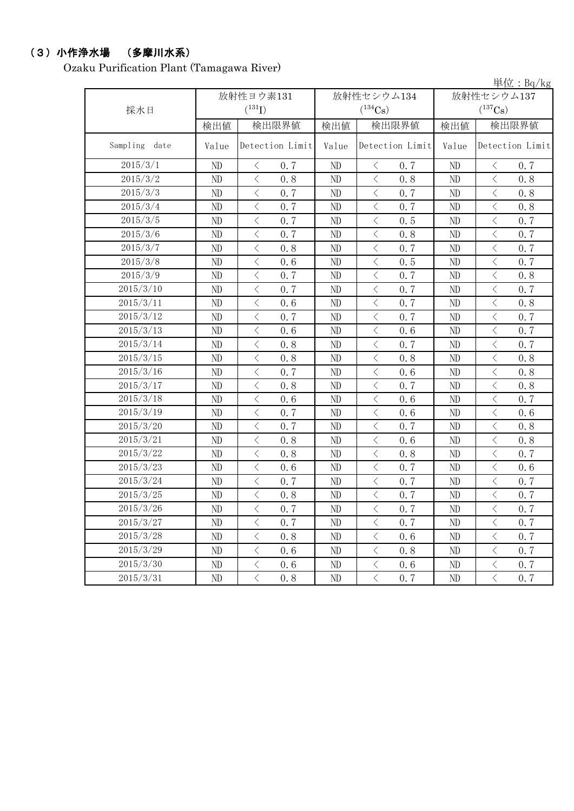## (3)小作浄水場 (多摩川水系)

Ozaku Purification Plant (Tamagawa River)

|                  |          |                                                 |          |                       |                       | 単位: $Bq/kg$                             |  |
|------------------|----------|-------------------------------------------------|----------|-----------------------|-----------------------|-----------------------------------------|--|
|                  |          | 放射性ヨウ素131                                       |          | 放射性セシウム134            | 放射性セシウム137            |                                         |  |
| 採水日              |          | $({}^{131}\text{I})$                            |          | $(^{134}Cs)$          | $(^{137}\mathrm{Cs})$ |                                         |  |
|                  | 検出値      | 検出限界値                                           | 検出値      | 検出限界値                 | 検出値                   | 検出限界値                                   |  |
| Sampling<br>date | Value    | Detection Limit                                 | Value    | Detection Limit       | Value                 | Detection Limit                         |  |
| 2015/3/1         | ND       | 0.7<br>$\langle$                                | ND       | $\langle$<br>0.7      | ND                    | $\langle$<br>0.7                        |  |
| 2015/3/2         | ND       | $\langle$<br>0.8                                | ND       | $\langle$<br>0.8      | ND                    | $\langle$<br>0.8                        |  |
| 2015/3/3         | ND       | $\langle$<br>0.7                                | ND       | 0.7<br>$\langle$      | ND                    | $\langle$<br>0.8                        |  |
| 2015/3/4         | ND       | $\langle$<br>0.7                                | ND       | $\langle$<br>0.7      | ND                    | $\,$ $\,$ $\,$<br>0.8                   |  |
| 2015/3/5         | ND       | $\langle$<br>0.7                                | ND       | $\langle$<br>0.5      | ND                    | $\langle$<br>0.7                        |  |
| 2015/3/6         | ND       | $\langle$<br>0.7                                | ND       | $\langle$<br>0.8      | ND                    | $\lt$<br>0.7                            |  |
| 2015/3/7         | ND       | $\langle$<br>0.8                                | ND       | $\langle$<br>0, 7     | ND                    | $\, <\,$<br>0.7                         |  |
| 2015/3/8         | ND       | $\langle$<br>0.6                                | ND       | $\langle$<br>0.5      | ND                    | $\lt$<br>0.7                            |  |
| 2015/3/9         | ND       | $\langle$<br>0.7                                | ND       | $\langle$<br>0.7      | ND                    | $\langle$<br>0.8                        |  |
| 2015/3/10        | ND       | $\langle$<br>0.7                                | ND       | $\langle$<br>0.7      | ND                    | $\lt$<br>0.7                            |  |
| 2015/3/11        | ND       | $\langle$<br>0.6                                | ND       | $\langle$<br>0.7      | ND                    | 0.8<br>$\langle$                        |  |
| 2015/3/12        | ND       | $\langle$<br>0.7                                | ND       | $\langle$<br>0.7      | ND                    | $\langle$<br>0.7                        |  |
| 2015/3/13        | ND       | $\,$ $\,$ $\,$<br>0.6                           | ND       | $\langle$<br>0.6      | ND                    | $\hspace{0.1mm} <\hspace{0.1mm}$<br>0.7 |  |
| 2015/3/14        | ND       | $\langle$<br>0.8                                | ND       | $\langle$<br>0.7      | ND                    | $\langle$<br>0.7                        |  |
| 2015/3/15        | ND       | $\lt$<br>0.8                                    | ND       | $\langle$<br>0.8      | ND                    | $\lt$<br>0.8                            |  |
| 2015/3/16        | ND       | $\langle$<br>0.7                                | ND       | $\langle$<br>0.6      | ND                    | $\langle$<br>0.8                        |  |
| 2015/3/17        | ND       | $\langle$<br>0.8                                | ND       | $\langle$<br>0.7      | ND                    | $\langle$<br>0.8                        |  |
| 2015/3/18        | ND       | $\,$ $\,$ $\,$<br>0.6                           | ND       | $\langle$<br>0.6      | ND                    | $\lt$<br>0.7                            |  |
| 2015/3/19        | ND       | $\langle$<br>0.7                                | ND       | $\langle$<br>0.6      | ND                    | $\,$ $\,$ $\,$<br>0.6                   |  |
| 2015/3/20        | ND       | $\langle$<br>0.7                                | ND       | $\langle$<br>0.7      | ND                    | $\langle$<br>0.8                        |  |
| 2015/3/21        | ND       | $\langle$<br>0.8                                | ND       | $\langle$<br>0.6      | ND                    | $\lt$<br>0.8                            |  |
| 2015/3/22        | ND       | $\langle$<br>0.8                                | ND       | $\langle$<br>0.8      | ND                    | $\lt$<br>0.7                            |  |
| 2015/3/23        | ND       | $\langle$<br>0.6                                | ND       | $\langle$<br>0.7      | ND                    | $\, <\,$<br>0.6                         |  |
| 2015/3/24        | ND       | $\langle$<br>0.7                                | ND       | $\langle$<br>0.7      | ND                    | $\lt$<br>0.7                            |  |
| 2015/3/25        | ND       | $\langle$<br>0.8                                | ND       | $\langle$<br>0.7      | ND                    | $\,$ $\,$ $\,$<br>0.7                   |  |
| 2015/3/26        | ND       | $\lt$<br>0.7                                    | ND       | $\lt$<br>0.7          | ND                    | $\lt$<br>0.7                            |  |
| 2015/3/27        | $\rm ND$ | $\overline{\left\langle \right\rangle }$<br>0.7 | $\rm ND$ | $\,$ $\,$ $\,$<br>0.7 | ND                    | $\,<\,$<br>0.7                          |  |
| 2015/3/28        | $\rm ND$ | $\langle$<br>0, 8                               | $\rm ND$ | $\langle$<br>0.6      | ND                    | $\langle$<br>0.7                        |  |
| 2015/3/29        | $\rm ND$ | $\langle$<br>0.6                                | ND       | $\lt$<br>0.8          | ND                    | $\langle$<br>0.7                        |  |
| 2015/3/30        | $\rm ND$ | $\langle$<br>0.6                                | ND       | $\big\langle$<br>0.6  | ND                    | $\langle$<br>0.7                        |  |
| 2015/3/31        | ND       | $\langle$<br>0.8                                | ND       | $\big\langle$<br>0.7  | ND                    | $\langle$<br>0, 7                       |  |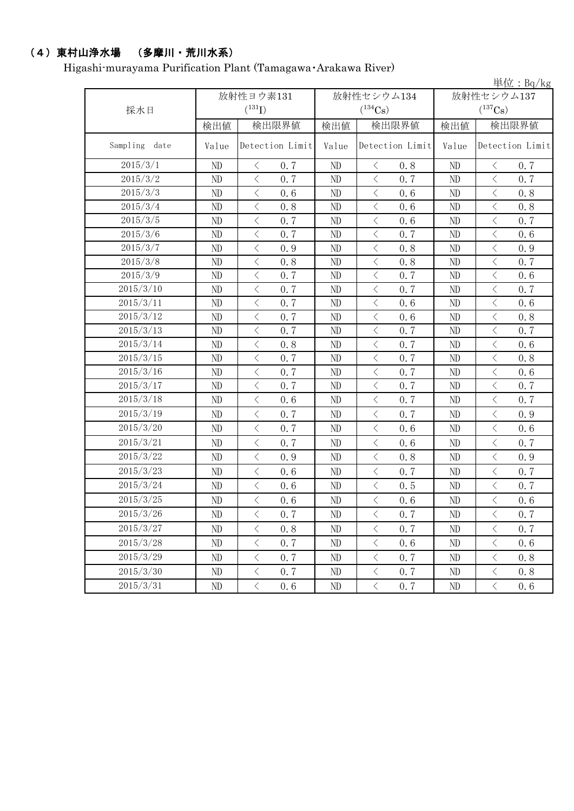## (4)東村山浄水場 (多摩川・荒川水系)

Higashi-murayama Purification Plant (Tamagawa・Arakawa River)

|                  |           |                                          |                 |            |                     |                 |                |                | 単位: $Bq/kg$     |  |
|------------------|-----------|------------------------------------------|-----------------|------------|---------------------|-----------------|----------------|----------------|-----------------|--|
|                  | 放射性ヨウ素131 |                                          |                 | 放射性セシウム134 |                     |                 | 放射性セシウム137     |                |                 |  |
| 採水日              |           | $({}^{131}\text{I})$                     |                 |            | $(^{134}Cs)$        |                 |                | $(^{137}Cs)$   |                 |  |
|                  | 検出値       |                                          | 検出限界値           |            | 検出限界値               |                 | 検出値            |                | 検出限界値           |  |
| Sampling<br>date | Value     |                                          | Detection Limit | Value      |                     | Detection Limit | Value          |                | Detection Limit |  |
| 2015/3/1         | ND        | $\langle$                                | 0.7             | ND         | $\langle$           | 0.8             | ND             | $\langle$      | 0.7             |  |
| 2015/3/2         | ND        | $\lt$                                    | 0.7             | ND         | $\, \big\langle \,$ | 0.7             | ND             | $\langle$      | 0.7             |  |
| 2015/3/3         | ND        | $\overline{\left\langle \right\rangle }$ | 0.6             | ND         | $\langle$           | 0.6             | ND             | $\langle$      | 0.8             |  |
| 2015/3/4         | ND        | $\,$ $\,$ $\,$                           | 0.8             | ND         | $\langle$           | 0.6             | ND             | $\,<\,$        | 0.8             |  |
| 2015/3/5         | ND        | $\lt$                                    | 0.7             | $\rm ND$   | $\langle$           | 0.6             | ND             | $\langle$      | 0.7             |  |
| 2015/3/6         | ND        | $\,$ $\,$ $\,$                           | 0.7             | ND         | $\langle$           | 0.7             | ND             | $\,$ $\,$ $\,$ | 0.6             |  |
| 2015/3/7         | ND        | $\, <\,$                                 | 0.9             | ND         | $\lt$               | 0.8             | ND             | $\, <\,$       | 0.9             |  |
| 2015/3/8         | ND        | $\langle$                                | 0.8             | ND         | $\langle$           | 0.8             | ND             | $\langle$      | 0.7             |  |
| 2015/3/9         | ND        | $\langle$                                | 0.7             | ND         | $\langle$           | 0.7             | ND             | $\,$ $\,$ $\,$ | 0.6             |  |
| 2015/3/10        | ND        | $\lt$                                    | 0.7             | ND         | $\langle$           | 0.7             | ND             | $\, \leq$      | 0.7             |  |
| 2015/3/11        | ND        | $\,$ $\,$ $\,$                           | 0.7             | $\rm ND$   | $\lt$               | 0.6             | ND             | $\,$ $\,$ $\,$ | 0.6             |  |
| 2015/3/12        | ND        | $\overline{\left\langle \right\rangle }$ | 0.7             | ND         | $\langle$           | 0.6             | ND             | $\langle$      | 0.8             |  |
| 2015/3/13        | ND        | $\,$ $\,$ $\,$                           | 0.7             | ND         | $\,$ $\,$ $\,$      | 0.7             | ND             | $\,$ $\,$ $\,$ | 0.7             |  |
| 2015/3/14        | ND        | $\overline{\left\langle \right\rangle }$ | 0.8             | ND         | $\,$ $\,$ $\,$      | 0.7             | N <sub>D</sub> | $\langle$      | 0.6             |  |
| 2015/3/15        | ND        | $\lt$                                    | 0.7             | ND         | $\, \big\langle \,$ | 0.7             | ND             | $\,$ $\,$ $\,$ | 0.8             |  |
| 2015/3/16        | ND        | $\langle$                                | 0.7             | ND         | $\langle$           | 0.7             | ND             | $\langle$      | 0.6             |  |
| 2015/3/17        | ND        | $\langle$                                | 0.7             | ND         | $\langle$           | 0.7             | ND             | $\langle$      | 0.7             |  |
| 2015/3/18        | ND        | $\langle$                                | 0.6             | ND         | $\langle$           | 0.7             | ND             | $\,$ $\,$ $\,$ | 0.7             |  |
| 2015/3/19        | ND        | $\lt$                                    | 0.7             | ND         | $\langle$           | 0.7             | ND             | $\,$ $\,$ $\,$ | 0.9             |  |
| 2015/3/20        | ND        | $\lt$                                    | 0.7             | ND         | $\langle$           | 0.6             | ND             | $\langle$      | 0.6             |  |
| 2015/3/21        | ND        | $\langle$                                | 0.7             | ND         | $\langle$           | 0.6             | ND             | $\langle$      | 0.7             |  |
| 2015/3/22        | ND        | $\lt$                                    | 0.9             | ND         | $\langle$           | 0.8             | ND             | $\,$ $\,$ $\,$ | 0.9             |  |
| 2015/3/23        | ND        | $\langle$                                | 0.6             | ND         | $\langle$           | 0.7             | ND             | $\,$ $\,$ $\,$ | 0.7             |  |
| 2015/3/24        | ND        | $\lt$                                    | 0.6             | ND         | $\langle$           | 0.5             | ND             | $\, \leq$      | 0.7             |  |
| 2015/3/25        | ND        | $\langle$                                | 0.6             | ND         | $\langle$           | 0.6             | ND             | $\,$ $\,$ $\,$ | 0.6             |  |
| 2015/3/26        | ND        | $\langle$                                | 0.7             | ND         | $\langle$           | 0.7             | ND             | $\langle$      | 0.7             |  |
| 2015/3/27        | ND        | $\, \big\langle \,$                      | 0.8             | ND         | $\langle$           | 0.7             | $\rm ND$       | $\, <\,$       | 0.7             |  |
| 2015/3/28        | ND        | $\, <\,$                                 | 0.7             | ND         | $\, \big\langle \,$ | 0.6             | ND             | $\, \leq$      | 0.6             |  |
| 2015/3/29        | ND        | $\, \big\langle \,$                      | 0.7             | ND         | $\langle$           | 0.7             | ND             | $\langle$      | 0.8             |  |
| 2015/3/30        | ND        | $\, \big\langle \,$                      | 0.7             | ND         | $\, \big\langle \,$ | 0.7             | ND             | $\, <\,$       | 0.8             |  |
| 2015/3/31        | $\rm ND$  | $\overline{\left\langle \right\rangle }$ | 0.6             | ND         | $\langle$           | 0.7             | $\rm ND$       | $\langle$      | 0.6             |  |
|                  |           |                                          |                 |            |                     |                 |                |                |                 |  |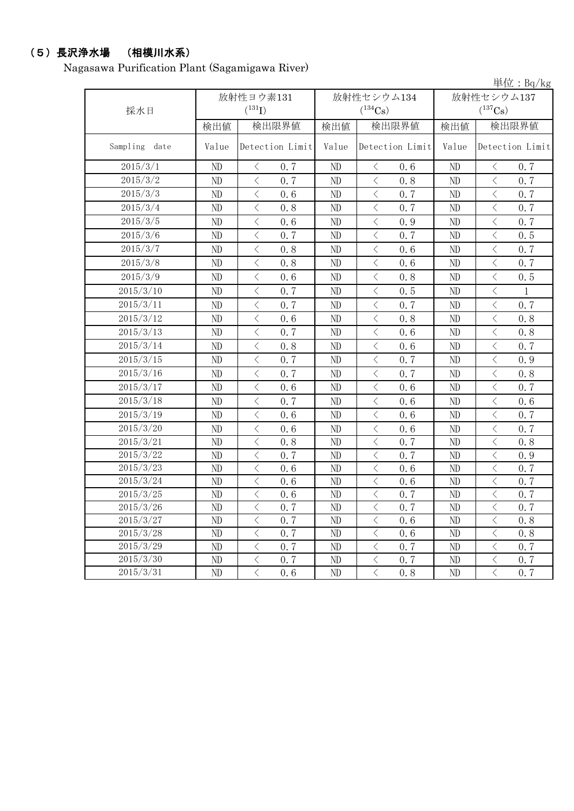# (5)長沢浄水場 (相模川水系)

Nagasawa Purification Plant (Sagamigawa River)

|                  |                        |                                          |                 |                        |                |                 |              |                                          | 単位: $Bq/kg$     |
|------------------|------------------------|------------------------------------------|-----------------|------------------------|----------------|-----------------|--------------|------------------------------------------|-----------------|
|                  | 放射性ヨウ素131              |                                          |                 |                        |                | 放射性セシウム134      | 放射性セシウム137   |                                          |                 |
| 採水日              |                        | $(^{131}I)$                              |                 | $(^{134}Cs)$           |                |                 | $(^{137}Cs)$ |                                          |                 |
|                  | 検出値                    |                                          | 検出限界値           | 検出値                    | 検出限界値          |                 | 検出値          | 検出限界値                                    |                 |
| Sampling<br>date | Value                  |                                          | Detection Limit | Value                  |                | Detection Limit | Value        |                                          | Detection Limit |
| 2015/3/1         | ND                     | $\langle$                                | 0.7             | ND                     | $\langle$      | 0.6             | ND           | $\langle$                                | 0.7             |
| 2015/3/2         | ND                     | $\langle$                                | 0.7             | ND                     | $\langle$      | 0.8             | ND           | $\langle$                                | 0.7             |
| 2015/3/3         | ND                     | $\overline{\left\langle \right\rangle }$ | 0.6             | ND                     | $\langle$      | 0.7             | ND           | $\langle$                                | 0.7             |
| 2015/3/4         | ND                     | $\langle$                                | 0.8             | ND                     | $\lt$          | 0.7             | ND           | $\lt$                                    | 0.7             |
| 2015/3/5         | ND                     | $\langle$                                | 0.6             | ND                     | $\langle$      | 0.9             | ND           | $\langle$                                | 0.7             |
| 2015/3/6         | ND                     | $\overline{\left\langle \right\rangle }$ | 0.7             | ND                     | $\langle$      | 0.7             | ND           | $\langle$                                | 0.5             |
| 2015/3/7         | ND                     | $\langle$                                | 0.8             | ND                     | $\langle$      | 0.6             | ND           | $\langle$                                | 0.7             |
| 2015/3/8         | ND                     | $\,$ $\,$ $\,$                           | 0.8             | ND                     | $\langle$      | 0.6             | ND           | $\langle$                                | 0.7             |
| 2015/3/9         | ND                     | $\,$ $\,$ $\,$                           | 0.6             | ND                     | $\,$ $\,$ $\,$ | 0.8             | ND           | $\langle$                                | 0.5             |
| 2015/3/10        | ND                     | $\,$ $\,$ $\,$                           | 0.7             | ND                     | $\langle$      | 0.5             | ND           | $\langle$                                | $\mathbf{1}$    |
| 2015/3/11        | ND                     | $\langle$                                | 0.7             | ND                     | $\langle$      | 0.7             | ND           | $\langle$                                | 0.7             |
| 2015/3/12        | ND                     | $\,$ $\,$ $\,$                           | 0.6             | ND                     | $\lt$          | 0.8             | ND           | $\,$ $\,$ $\,$                           | 0.8             |
| 2015/3/13        | ND                     | $\,$ $\,$ $\,$                           | 0.7             | ND                     | $\lt$          | 0.6             | ND           | $\langle$                                | 0.8             |
| 2015/3/14        | ND                     | $\,$ $\,$ $\,$                           | 0.8             | ND                     | $\lt$          | 0.6             | ND           | $\langle$                                | 0.7             |
| 2015/3/15        | ND                     | $\langle$                                | 0.7             | ND                     | $\langle$      | 0.7             | ND           | $\langle$                                | 0.9             |
| 2015/3/16        | $\rm ND$               | $\langle$                                | 0.7             | ND                     | $\langle$      | 0.7             | ND           | $\langle$                                | 0.8             |
| 2015/3/17        | ND                     | $\langle$                                | 0.6             | ND                     | $\lt$          | 0.6             | ND           | $\big\langle$                            | 0.7             |
| 2015/3/18        | ND                     | $\,$ $\,$ $\,$                           | 0.7             | ND                     | $\,$ $\,$ $\,$ | 0.6             | ND           | $\langle$                                | 0.6             |
| 2015/3/19        | ND                     | $\langle$                                | 0.6             | ND                     | $\langle$      | 0.6             | ND           | $\langle$                                | 0.7             |
| 2015/3/20        | ND                     | $\langle$                                | 0.6             | ND                     | $\langle$      | 0.6             | ND           | $\langle$                                | 0.7             |
| 2015/3/21        | ND                     | $\langle$                                | 0.8             | ND                     | $\langle$      | 0.7             | ND           | $\langle$                                | 0.8             |
| 2015/3/22        | ND                     | $\langle$                                | 0.7             | ND                     | $\langle$      | 0.7             | ND           | $\langle$                                | 0.9             |
| 2015/3/23        | ND                     | $\,$ $\,$ $\,$                           | 0.6             | ND                     | $\,$ $\,$ $\,$ | 0.6             | ND           | $\, < \,$                                | 0.7             |
| 2015/3/24        | ND                     | $\,$ $\,$ $\,$                           | 0.6             | ND                     | $\langle$      | 0.6             | ND           | $\langle$                                | 0.7             |
| 2015/3/25        | ND                     | $\,$ $\,$ $\,$                           | 0.6             | ND                     | $\lt$          | 0.7             | ND           | $\, <\,$                                 | 0.7             |
| 2015/3/26        | $\overline{\text{ND}}$ | $\overline{\left\langle \right\rangle }$ | 0.7             | $\overline{\text{ND}}$ | $\,$ $\,$ $\,$ | 0.7             | ND           | $\overline{\left\langle \right\rangle }$ | 0.7             |
| 2015/3/27        | ND                     | $\langle$                                | 0.7             | ND                     | $\lt$          | 0.6             | ND           | $\lt$                                    | 0.8             |
| 2015/3/28        | $\rm ND$               | $\langle$                                | 0.7             | ND                     | $\langle$      | 0.6             | $\rm ND$     | $\langle$                                | 0.8             |
| 2015/3/29        | ND                     | $\langle$                                | 0.7             | ND                     | $\,$ $\,$ $\,$ | 0.7             | ND           | $\, \big\langle \,$                      | 0.7             |
| 2015/3/30        | ND                     | $\, <\,$                                 | 0.7             | ND                     | $\,$ $\,$ $\,$ | 0.7             | ND           | $\mathord{<}$                            | 0, 7            |
| 2015/3/31        | ND                     | $\langle$                                | 0.6             | ND                     | $\langle$      | 0.8             | ND           | $\langle$                                | 0.7             |